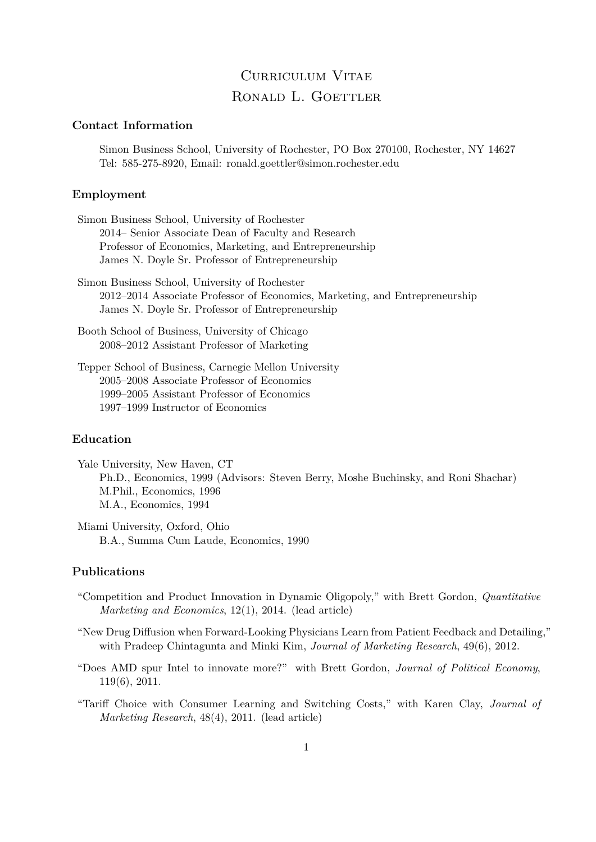# Curriculum Vitae RONALD L. GOETTLER

# **Contact Information**

Simon Business School, University of Rochester, PO Box 270100, Rochester, NY 14627 Tel: 585-275-8920, Email: ronald.goettler@simon.rochester.edu

# **Employment**

- Simon Business School, University of Rochester 2014– Senior Associate Dean of Faculty and Research Professor of Economics, Marketing, and Entrepreneurship James N. Doyle Sr. Professor of Entrepreneurship
- Simon Business School, University of Rochester 2012–2014 Associate Professor of Economics, Marketing, and Entrepreneurship James N. Doyle Sr. Professor of Entrepreneurship
- Booth School of Business, University of Chicago 2008–2012 Assistant Professor of Marketing

Tepper School of Business, Carnegie Mellon University 2005–2008 Associate Professor of Economics 1999–2005 Assistant Professor of Economics 1997–1999 Instructor of Economics

### **Education**

- Yale University, New Haven, CT Ph.D., Economics, 1999 (Advisors: Steven Berry, Moshe Buchinsky, and Roni Shachar) M.Phil., Economics, 1996 M.A., Economics, 1994
- Miami University, Oxford, Ohio B.A., Summa Cum Laude, Economics, 1990

#### **Publications**

- "Competition and Product Innovation in Dynamic Oligopoly," with Brett Gordon, *Quantitative Marketing and Economics*, 12(1), 2014. (lead article)
- "New Drug Diffusion when Forward-Looking Physicians Learn from Patient Feedback and Detailing," with Pradeep Chintagunta and Minki Kim, *Journal of Marketing Research*, 49(6), 2012.
- "Does AMD spur Intel to innovate more?" with Brett Gordon, *Journal of Political Economy*, 119(6), 2011.
- "Tariff Choice with Consumer Learning and Switching Costs," with Karen Clay, *Journal of Marketing Research*, 48(4), 2011. (lead article)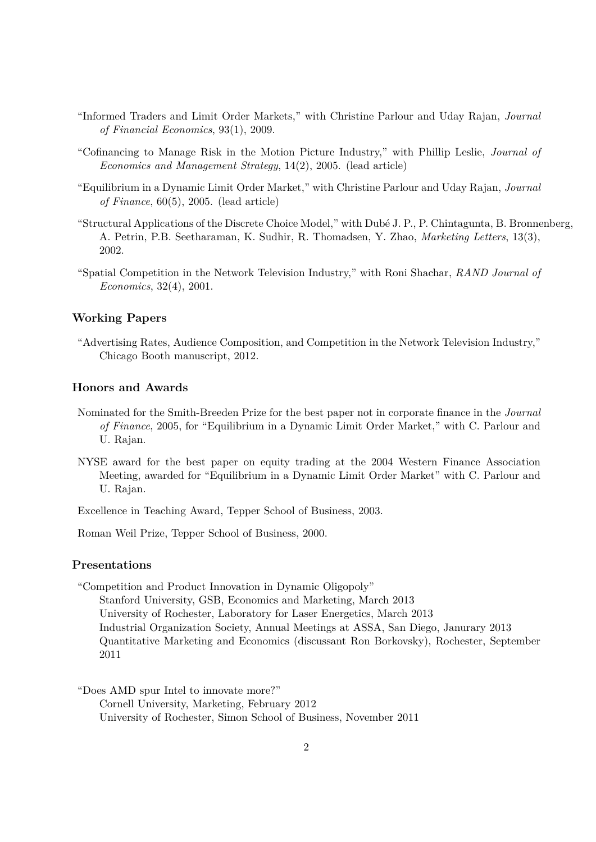- "Informed Traders and Limit Order Markets," with Christine Parlour and Uday Rajan, *Journal of Financial Economics*, 93(1), 2009.
- "Cofinancing to Manage Risk in the Motion Picture Industry," with Phillip Leslie, *Journal of Economics and Management Strategy*, 14(2), 2005. (lead article)
- "Equilibrium in a Dynamic Limit Order Market," with Christine Parlour and Uday Rajan, *Journal of Finance*, 60(5), 2005. (lead article)
- "Structural Applications of the Discrete Choice Model," with Dubé J. P., P. Chintagunta, B. Bronnenberg, A. Petrin, P.B. Seetharaman, K. Sudhir, R. Thomadsen, Y. Zhao, *Marketing Letters*, 13(3), 2002.
- "Spatial Competition in the Network Television Industry," with Roni Shachar, *RAND Journal of Economics*, 32(4), 2001.

#### **Working Papers**

"Advertising Rates, Audience Composition, and Competition in the Network Television Industry," Chicago Booth manuscript, 2012.

# **Honors and Awards**

- Nominated for the Smith-Breeden Prize for the best paper not in corporate finance in the *Journal of Finance*, 2005, for "Equilibrium in a Dynamic Limit Order Market," with C. Parlour and U. Rajan.
- NYSE award for the best paper on equity trading at the 2004 Western Finance Association Meeting, awarded for "Equilibrium in a Dynamic Limit Order Market" with C. Parlour and U. Rajan.

Excellence in Teaching Award, Tepper School of Business, 2003.

Roman Weil Prize, Tepper School of Business, 2000.

# **Presentations**

"Competition and Product Innovation in Dynamic Oligopoly" Stanford University, GSB, Economics and Marketing, March 2013 University of Rochester, Laboratory for Laser Energetics, March 2013 Industrial Organization Society, Annual Meetings at ASSA, San Diego, Janurary 2013 Quantitative Marketing and Economics (discussant Ron Borkovsky), Rochester, September 2011

"Does AMD spur Intel to innovate more?"

Cornell University, Marketing, February 2012 University of Rochester, Simon School of Business, November 2011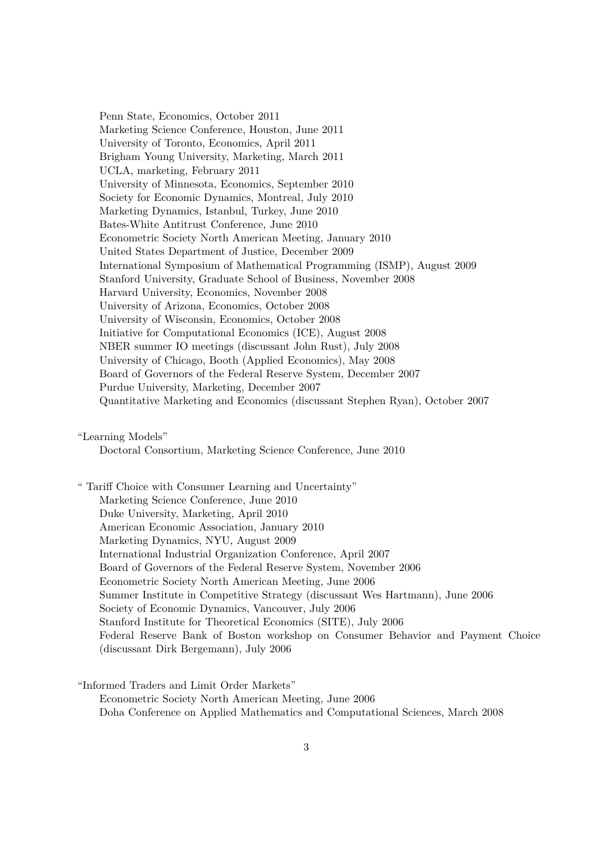Penn State, Economics, October 2011 Marketing Science Conference, Houston, June 2011 University of Toronto, Economics, April 2011 Brigham Young University, Marketing, March 2011 UCLA, marketing, February 2011 University of Minnesota, Economics, September 2010 Society for Economic Dynamics, Montreal, July 2010 Marketing Dynamics, Istanbul, Turkey, June 2010 Bates-White Antitrust Conference, June 2010 Econometric Society North American Meeting, January 2010 United States Department of Justice, December 2009 International Symposium of Mathematical Programming (ISMP), August 2009 Stanford University, Graduate School of Business, November 2008 Harvard University, Economics, November 2008 University of Arizona, Economics, October 2008 University of Wisconsin, Economics, October 2008 Initiative for Computational Economics (ICE), August 2008 NBER summer IO meetings (discussant John Rust), July 2008 University of Chicago, Booth (Applied Economics), May 2008 Board of Governors of the Federal Reserve System, December 2007 Purdue University, Marketing, December 2007 Quantitative Marketing and Economics (discussant Stephen Ryan), October 2007

"Learning Models"

Doctoral Consortium, Marketing Science Conference, June 2010

" Tariff Choice with Consumer Learning and Uncertainty" Marketing Science Conference, June 2010 Duke University, Marketing, April 2010 American Economic Association, January 2010 Marketing Dynamics, NYU, August 2009 International Industrial Organization Conference, April 2007 Board of Governors of the Federal Reserve System, November 2006 Econometric Society North American Meeting, June 2006 Summer Institute in Competitive Strategy (discussant Wes Hartmann), June 2006 Society of Economic Dynamics, Vancouver, July 2006 Stanford Institute for Theoretical Economics (SITE), July 2006 Federal Reserve Bank of Boston workshop on Consumer Behavior and Payment Choice (discussant Dirk Bergemann), July 2006

"Informed Traders and Limit Order Markets" Econometric Society North American Meeting, June 2006 Doha Conference on Applied Mathematics and Computational Sciences, March 2008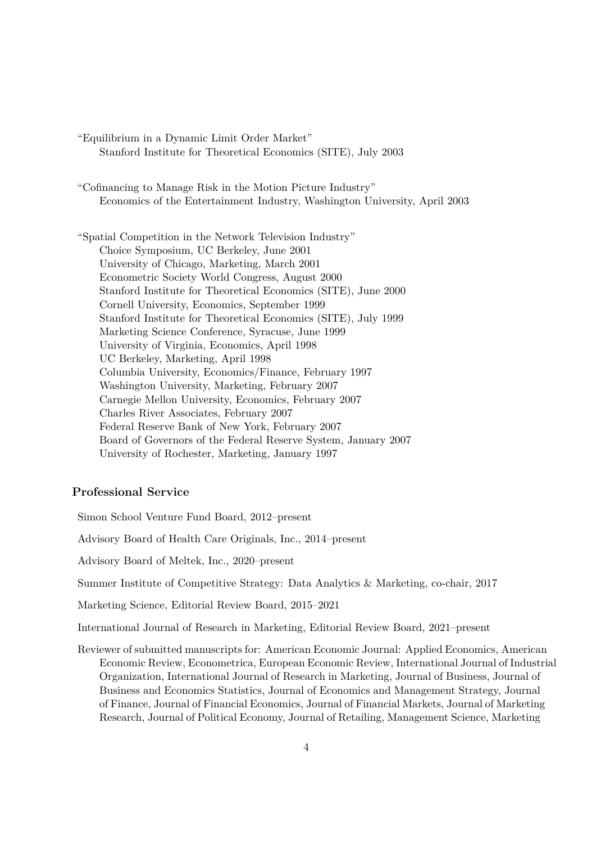"Equilibrium in a Dynamic Limit Order Market" Stanford Institute for Theoretical Economics (SITE), July 2003

"Cofinancing to Manage Risk in the Motion Picture Industry" Economics of the Entertainment Industry, Washington University, April 2003

"Spatial Competition in the Network Television Industry" Choice Symposium, UC Berkeley, June 2001 University of Chicago, Marketing, March 2001 Econometric Society World Congress, August 2000 Stanford Institute for Theoretical Economics (SITE), June 2000 Cornell University, Economics, September 1999 Stanford Institute for Theoretical Economics (SITE), July 1999 Marketing Science Conference, Syracuse, June 1999 University of Virginia, Economics, April 1998 UC Berkeley, Marketing, April 1998 Columbia University, Economics/Finance, February 1997 Washington University, Marketing, February 2007 Carnegie Mellon University, Economics, February 2007 Charles River Associates, February 2007 Federal Reserve Bank of New York, February 2007 Board of Governors of the Federal Reserve System, January 2007 University of Rochester, Marketing, January 1997

# **Professional Service**

Simon School Venture Fund Board, 2012–present

Advisory Board of Health Care Originals, Inc., 2014–present

Advisory Board of Meltek, Inc., 2020–present

Summer Institute of Competitive Strategy: Data Analytics & Marketing, co-chair, 2017

Marketing Science, Editorial Review Board, 2015–2021

International Journal of Research in Marketing, Editorial Review Board, 2021–present

Reviewer of submitted manuscripts for: American Economic Journal: Applied Economics, American Economic Review, Econometrica, European Economic Review, International Journal of Industrial Organization, International Journal of Research in Marketing, Journal of Business, Journal of Business and Economics Statistics, Journal of Economics and Management Strategy, Journal of Finance, Journal of Financial Economics, Journal of Financial Markets, Journal of Marketing Research, Journal of Political Economy, Journal of Retailing, Management Science, Marketing